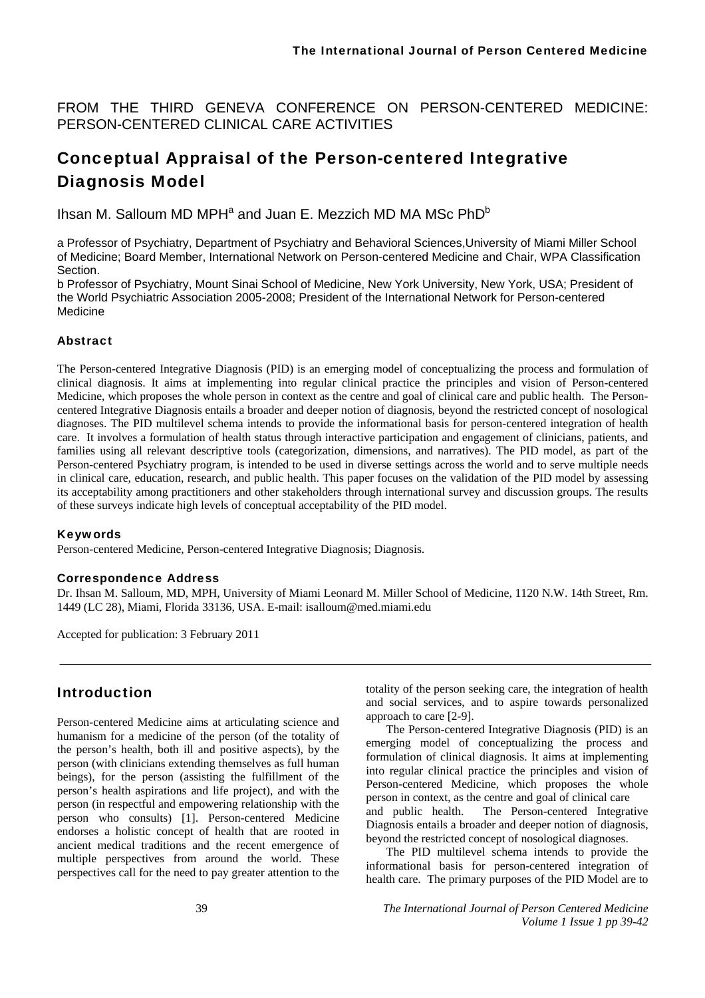FROM THE THIRD GENEVA CONFERENCE ON PERSON-CENTERED MEDICINE: PERSON-CENTERED CLINICAL CARE ACTIVITIES

# Conceptual Appraisal of the Person-centered Integrative Diagnosis Model

Ihsan M. Salloum MD MPH<sup>a</sup> and Juan E. Mezzich MD MA MSc PhD<sup>b</sup>

a Professor of Psychiatry, Department of Psychiatry and Behavioral Sciences,University of Miami Miller School of Medicine; Board Member, International Network on Person-centered Medicine and Chair, WPA Classification **Section** 

b Professor of Psychiatry, Mount Sinai School of Medicine, New York University, New York, USA; President of the World Psychiatric Association 2005-2008; President of the International Network for Person-centered Medicine

## **Abstract**

The Person-centered Integrative Diagnosis (PID) is an emerging model of conceptualizing the process and formulation of clinical diagnosis. It aims at implementing into regular clinical practice the principles and vision of Person-centered Medicine, which proposes the whole person in context as the centre and goal of clinical care and public health. The Personcentered Integrative Diagnosis entails a broader and deeper notion of diagnosis, beyond the restricted concept of nosological diagnoses. The PID multilevel schema intends to provide the informational basis for person-centered integration of health care. It involves a formulation of health status through interactive participation and engagement of clinicians, patients, and families using all relevant descriptive tools (categorization, dimensions, and narratives). The PID model, as part of the Person-centered Psychiatry program, is intended to be used in diverse settings across the world and to serve multiple needs in clinical care, education, research, and public health. This paper focuses on the validation of the PID model by assessing its acceptability among practitioners and other stakeholders through international survey and discussion groups. The results of these surveys indicate high levels of conceptual acceptability of the PID model.

#### Keywords

Person-centered Medicine, Person-centered Integrative Diagnosis; Diagnosis.

#### Correspondence Address

Dr. Ihsan M. Salloum, MD, MPH, University of Miami Leonard M. Miller School of Medicine, 1120 N.W. 14th Street, Rm. 1449 (LC 28), Miami, Florida 33136, USA. E-mail: isalloum@med.miami.edu

Accepted for publication: 3 February 2011

## Introduction

Person-centered Medicine aims at articulating science and humanism for a medicine of the person (of the totality of the person's health, both ill and positive aspects), by the person (with clinicians extending themselves as full human beings), for the person (assisting the fulfillment of the person's health aspirations and life project), and with the person (in respectful and empowering relationship with the person who consults) [1]. Person-centered Medicine endorses a holistic concept of health that are rooted in ancient medical traditions and the recent emergence of multiple perspectives from around the world. These perspectives call for the need to pay greater attention to the

totality of the person seeking care, the integration of health and social services, and to aspire towards personalized approach to care [2-9].

The Person-centered Integrative Diagnosis (PID) is an emerging model of conceptualizing the process and formulation of clinical diagnosis. It aims at implementing into regular clinical practice the principles and vision of Person-centered Medicine, which proposes the whole person in context, as the centre and goal of clinical care and public health. The Person-centered Integrative Diagnosis entails a broader and deeper notion of diagnosis, beyond the restricted concept of nosological diagnoses.

The PID multilevel schema intends to provide the informational basis for person-centered integration of health care. The primary purposes of the PID Model are to

39 *The International Journal of Person Centered Medicine Volume 1 Issue 1 pp 39-42*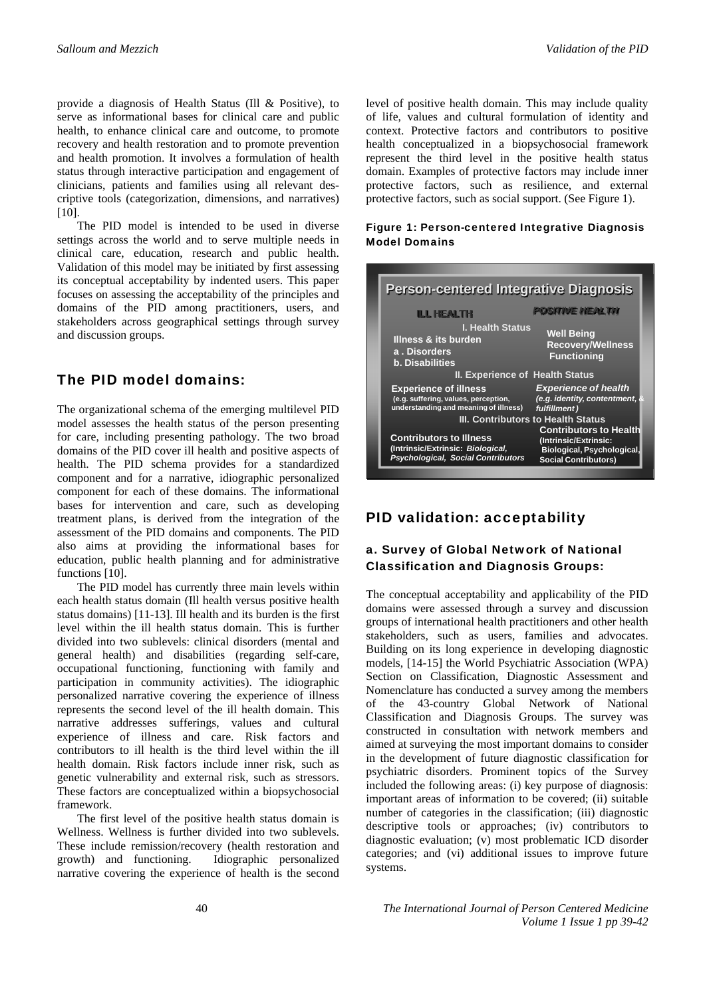provide a diagnosis of Health Status (Ill & Positive), to serve as informational bases for clinical care and public health, to enhance clinical care and outcome, to promote recovery and health restoration and to promote prevention and health promotion. It involves a formulation of health status through interactive participation and engagement of clinicians, patients and families using all relevant descriptive tools (categorization, dimensions, and narratives)  $[10]$ .

The PID model is intended to be used in diverse settings across the world and to serve multiple needs in clinical care, education, research and public health. Validation of this model may be initiated by first assessing its conceptual acceptability by indented users. This paper focuses on assessing the acceptability of the principles and domains of the PID among practitioners, users, and stakeholders across geographical settings through survey and discussion groups.

## The PID model domains:

The organizational schema of the emerging multilevel PID model assesses the health status of the person presenting for care, including presenting pathology. The two broad domains of the PID cover ill health and positive aspects of health. The PID schema provides for a standardized component and for a narrative, idiographic personalized component for each of these domains. The informational bases for intervention and care, such as developing treatment plans, is derived from the integration of the assessment of the PID domains and components. The PID also aims at providing the informational bases for education, public health planning and for administrative functions [10].

The PID model has currently three main levels within each health status domain (Ill health versus positive health status domains) [11-13]. Ill health and its burden is the first level within the ill health status domain. This is further divided into two sublevels: clinical disorders (mental and general health) and disabilities (regarding self-care, occupational functioning, functioning with family and participation in community activities). The idiographic personalized narrative covering the experience of illness represents the second level of the ill health domain. This narrative addresses sufferings, values and cultural experience of illness and care. Risk factors and contributors to ill health is the third level within the ill health domain. Risk factors include inner risk, such as genetic vulnerability and external risk, such as stressors. These factors are conceptualized within a biopsychosocial framework.

The first level of the positive health status domain is Wellness. Wellness is further divided into two sublevels. These include remission/recovery (health restoration and growth) and functioning. Idiographic personalized narrative covering the experience of health is the second level of positive health domain. This may include quality of life, values and cultural formulation of identity and context. Protective factors and contributors to positive health conceptualized in a biopsychosocial framework represent the third level in the positive health status domain. Examples of protective factors may include inner protective factors, such as resilience, and external protective factors, such as social support. (See Figure 1).

#### Figure 1: Person-centered Integrative Diagnosis Model Domains

| <b>Person-centered Integrative Diagnosis</b>                                                                     |                                                                                                                     |
|------------------------------------------------------------------------------------------------------------------|---------------------------------------------------------------------------------------------------------------------|
| <b>ILL HEALTH</b>                                                                                                | <b>POSITIVE HEALTH</b>                                                                                              |
| <b>I. Health Status</b><br><b>Illness &amp; its burden</b><br>a. Disorders<br><b>b.</b> Disabilities             | <b>Well Being</b><br><b>Recovery/Wellness</b><br>Functioning                                                        |
| <b>II. Experience of Health Status</b>                                                                           |                                                                                                                     |
| <b>Experience of illness</b><br>(e.g. suffering, values, perception,<br>understanding and meaning of illness)    | <b>Experience of health</b><br>(e.g. identity, contentment,<br>fulfillment)                                         |
| III. Contributors to Health Status                                                                               |                                                                                                                     |
| <b>Contributors to Illness</b><br>(Intrinsic/Extrinsic: Biological,<br><b>Psychological, Social Contributors</b> | <b>Contributors to Health</b><br>(Intrinsic/Extrinsic:<br>Biological, Psychological,<br><b>Social Contributors)</b> |

## PID validation: acceptability

## a. Survey of Global Network of National Classification and Diagnosis Groups:

The conceptual acceptability and applicability of the PID domains were assessed through a survey and discussion groups of international health practitioners and other health stakeholders, such as users, families and advocates. Building on its long experience in developing diagnostic models, [14-15] the World Psychiatric Association (WPA) Section on Classification, Diagnostic Assessment and Nomenclature has conducted a survey among the members of the 43-country Global Network of National Classification and Diagnosis Groups. The survey was constructed in consultation with network members and aimed at surveying the most important domains to consider in the development of future diagnostic classification for psychiatric disorders. Prominent topics of the Survey included the following areas: (i) key purpose of diagnosis: important areas of information to be covered; (ii) suitable number of categories in the classification; (iii) diagnostic descriptive tools or approaches; (iv) contributors to diagnostic evaluation; (v) most problematic ICD disorder categories; and (vi) additional issues to improve future systems.

40 *The International Journal of Person Centered Medicine Volume 1 Issue 1 pp 39-42*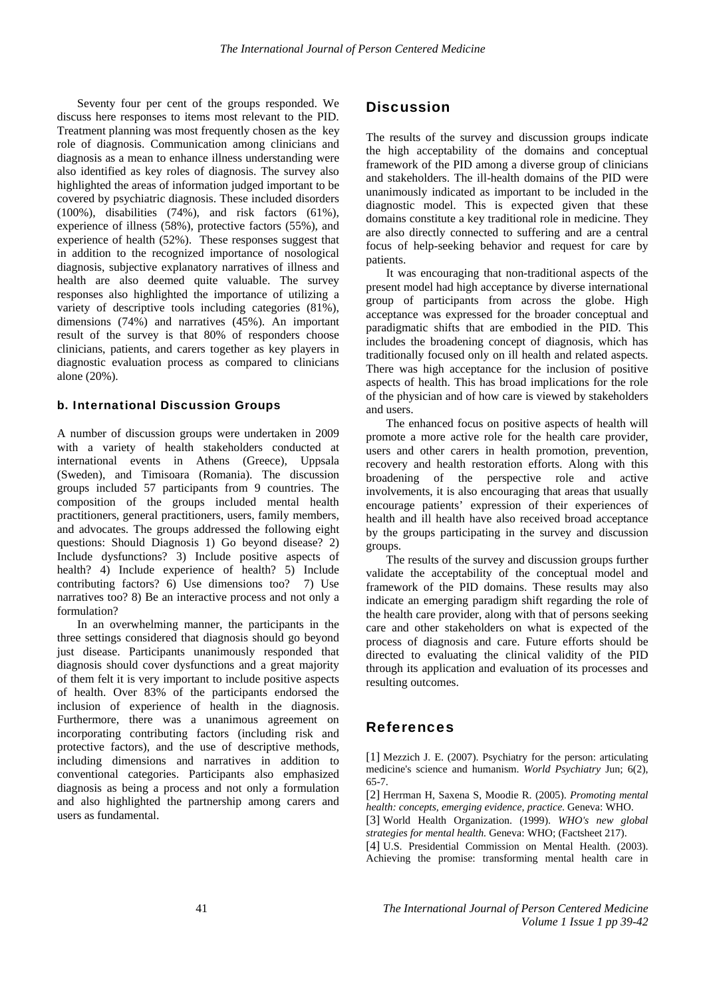Seventy four per cent of the groups responded. We discuss here responses to items most relevant to the PID. Treatment planning was most frequently chosen as the key role of diagnosis. Communication among clinicians and diagnosis as a mean to enhance illness understanding were also identified as key roles of diagnosis. The survey also highlighted the areas of information judged important to be covered by psychiatric diagnosis. These included disorders (100%), disabilities (74%), and risk factors (61%), experience of illness (58%), protective factors (55%), and experience of health (52%). These responses suggest that in addition to the recognized importance of nosological diagnosis, subjective explanatory narratives of illness and health are also deemed quite valuable. The survey responses also highlighted the importance of utilizing a variety of descriptive tools including categories (81%), dimensions (74%) and narratives (45%). An important result of the survey is that 80% of responders choose clinicians, patients, and carers together as key players in diagnostic evaluation process as compared to clinicians alone (20%).

#### b. International Discussion Groups

A number of discussion groups were undertaken in 2009 with a variety of health stakeholders conducted at international events in Athens (Greece), Uppsala (Sweden), and Timisoara (Romania). The discussion groups included 57 participants from 9 countries. The composition of the groups included mental health practitioners, general practitioners, users, family members, and advocates. The groups addressed the following eight questions: Should Diagnosis 1) Go beyond disease? 2) Include dysfunctions? 3) Include positive aspects of health? 4) Include experience of health? 5) Include contributing factors? 6) Use dimensions too? 7) Use narratives too? 8) Be an interactive process and not only a formulation?

In an overwhelming manner, the participants in the three settings considered that diagnosis should go beyond just disease. Participants unanimously responded that diagnosis should cover dysfunctions and a great majority of them felt it is very important to include positive aspects of health. Over 83% of the participants endorsed the inclusion of experience of health in the diagnosis. Furthermore, there was a unanimous agreement on incorporating contributing factors (including risk and protective factors), and the use of descriptive methods, including dimensions and narratives in addition to conventional categories. Participants also emphasized diagnosis as being a process and not only a formulation and also highlighted the partnership among carers and users as fundamental.

## **Discussion**

The results of the survey and discussion groups indicate the high acceptability of the domains and conceptual framework of the PID among a diverse group of clinicians and stakeholders. The ill-health domains of the PID were unanimously indicated as important to be included in the diagnostic model. This is expected given that these domains constitute a key traditional role in medicine. They are also directly connected to suffering and are a central focus of help-seeking behavior and request for care by patients.

It was encouraging that non-traditional aspects of the present model had high acceptance by diverse international group of participants from across the globe. High acceptance was expressed for the broader conceptual and paradigmatic shifts that are embodied in the PID. This includes the broadening concept of diagnosis, which has traditionally focused only on ill health and related aspects. There was high acceptance for the inclusion of positive aspects of health. This has broad implications for the role of the physician and of how care is viewed by stakeholders and users.

The enhanced focus on positive aspects of health will promote a more active role for the health care provider, users and other carers in health promotion, prevention, recovery and health restoration efforts. Along with this broadening of the perspective role and active involvements, it is also encouraging that areas that usually encourage patients' expression of their experiences of health and ill health have also received broad acceptance by the groups participating in the survey and discussion groups.

The results of the survey and discussion groups further validate the acceptability of the conceptual model and framework of the PID domains. These results may also indicate an emerging paradigm shift regarding the role of the health care provider, along with that of persons seeking care and other stakeholders on what is expected of the process of diagnosis and care. Future efforts should be directed to evaluating the clinical validity of the PID through its application and evaluation of its processes and resulting outcomes.

## References

[1] Mezzich J. E. (2007). Psychiatry for the person: articulating medicine's science and humanism. *World Psychiatry* Jun; 6(2), 65-7.

[2] Herrman H, Saxena S, Moodie R. (2005). *Promoting mental health: concepts, emerging evidence, practice*. Geneva: WHO.

[3] World Health Organization. (1999). *WHO's new global strategies for mental health.* Geneva: WHO; (Factsheet 217).

[4] U.S. Presidential Commission on Mental Health. (2003). Achieving the promise: transforming mental health care in

41 *The International Journal of Person Centered Medicine Volume 1 Issue 1 pp 39-42*